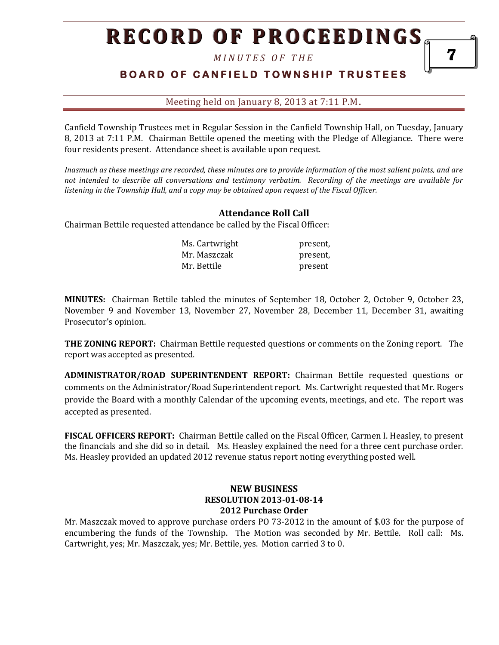*M I N U T E S O F T H E* 

# **BOARD OF CANFIELD TOWNSHIP TRUSTEES**

#### Meeting held on January 8, 2013 at 7:11 P.M**.**

Canfield Township Trustees met in Regular Session in the Canfield Township Hall, on Tuesday, January 8, 2013 at 7:11 P.M. Chairman Bettile opened the meeting with the Pledge of Allegiance. There were four residents present. Attendance sheet is available upon request.

*Inasmuch as these meetings are recorded, these minutes are to provide information of the most salient points, and are not intended to describe all conversations and testimony verbatim. Recording of the meetings are available for listening in the Township Hall, and a copy may be obtained upon request of the Fiscal Officer.* 

### **Attendance Roll Call**

Chairman Bettile requested attendance be called by the Fiscal Officer:

| Ms. Cartwright | present, |
|----------------|----------|
| Mr. Maszczak   | present, |
| Mr. Bettile    | present  |

**MINUTES:** Chairman Bettile tabled the minutes of September 18, October 2, October 9, October 23, November 9 and November 13, November 27, November 28, December 11, December 31, awaiting Prosecutor's opinion.

**THE ZONING REPORT:** Chairman Bettile requested questions or comments on the Zoning report. The report was accepted as presented.

**ADMINISTRATOR/ROAD SUPERINTENDENT REPORT:** Chairman Bettile requested questions or comments on the Administrator/Road Superintendent report. Ms. Cartwright requested that Mr. Rogers provide the Board with a monthly Calendar of the upcoming events, meetings, and etc. The report was accepted as presented.

**FISCAL OFFICERS REPORT:** Chairman Bettile called on the Fiscal Officer, Carmen I. Heasley, to present the financials and she did so in detail. Ms. Heasley explained the need for a three cent purchase order. Ms. Heasley provided an updated 2012 revenue status report noting everything posted well.

#### **NEW BUSINESS RESOLUTION 2013-01-08-14 2012 Purchase Order**

Mr. Maszczak moved to approve purchase orders PO 73-2012 in the amount of \$.03 for the purpose of encumbering the funds of the Township. The Motion was seconded by Mr. Bettile. Roll call: Ms. Cartwright, yes; Mr. Maszczak, yes; Mr. Bettile, yes. Motion carried 3 to 0.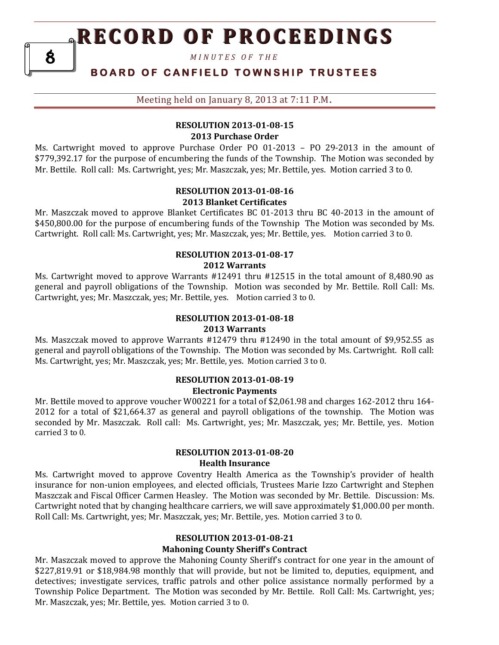*M I N U T E S O F T H E* 

## **B O A R D O F C A N F I E L D T O W N S H I P T R U S T E E S**

Meeting held on January 8, 2013 at 7:11 P.M**.**

## **RESOLUTION 2013-01-08-15 2013 Purchase Order**

Ms. Cartwright moved to approve Purchase Order PO 01-2013 – PO 29-2013 in the amount of \$779,392.17 for the purpose of encumbering the funds of the Township. The Motion was seconded by Mr. Bettile. Roll call: Ms. Cartwright, yes; Mr. Maszczak, yes; Mr. Bettile, yes. Motion carried 3 to 0.

#### **RESOLUTION 2013-01-08-16 2013 Blanket Certificates**

Mr. Maszczak moved to approve Blanket Certificates BC 01-2013 thru BC 40-2013 in the amount of \$450,800.00 for the purpose of encumbering funds of the Township The Motion was seconded by Ms. Cartwright. Roll call: Ms. Cartwright, yes; Mr. Maszczak, yes; Mr. Bettile, yes. Motion carried 3 to 0.

#### **RESOLUTION 2013-01-08-17 2012 Warrants**

Ms. Cartwright moved to approve Warrants #12491 thru #12515 in the total amount of 8,480.90 as general and payroll obligations of the Township. Motion was seconded by Mr. Bettile. Roll Call: Ms. Cartwright, yes; Mr. Maszczak, yes; Mr. Bettile, yes. Motion carried 3 to 0.

#### **RESOLUTION 2013-01-08-18**

#### **2013 Warrants**

Ms. Maszczak moved to approve Warrants #12479 thru #12490 in the total amount of \$9,952.55 as general and payroll obligations of the Township. The Motion was seconded by Ms. Cartwright. Roll call: Ms. Cartwright, yes; Mr. Maszczak, yes; Mr. Bettile, yes. Motion carried 3 to 0.

### **RESOLUTION 2013-01-08-19 Electronic Payments**

Mr. Bettile moved to approve voucher W00221 for a total of \$2,061.98 and charges 162-2012 thru 164- 2012 for a total of \$21,664.37 as general and payroll obligations of the township. The Motion was seconded by Mr. Maszczak. Roll call: Ms. Cartwright, yes; Mr. Maszczak, yes; Mr. Bettile, yes. Motion carried 3 to 0.

#### **RESOLUTION 2013-01-08-20 Health Insurance**

Ms. Cartwright moved to approve Coventry Health America as the Township's provider of health insurance for non-union employees, and elected officials, Trustees Marie Izzo Cartwright and Stephen Maszczak and Fiscal Officer Carmen Heasley. The Motion was seconded by Mr. Bettile. Discussion: Ms. Cartwright noted that by changing healthcare carriers, we will save approximately \$1,000.00 per month. Roll Call: Ms. Cartwright, yes; Mr. Maszczak, yes; Mr. Bettile, yes. Motion carried 3 to 0.

#### **RESOLUTION 2013-01-08-21 Mahoning County Sheriff's Contract**

Mr. Maszczak moved to approve the Mahoning County Sheriff's contract for one year in the amount of \$227,819.91 or \$18,984.98 monthly that will provide, but not be limited to, deputies, equipment, and detectives; investigate services, traffic patrols and other police assistance normally performed by a Township Police Department. The Motion was seconded by Mr. Bettile. Roll Call: Ms. Cartwright, yes; Mr. Maszczak, yes; Mr. Bettile, yes. Motion carried 3 to 0.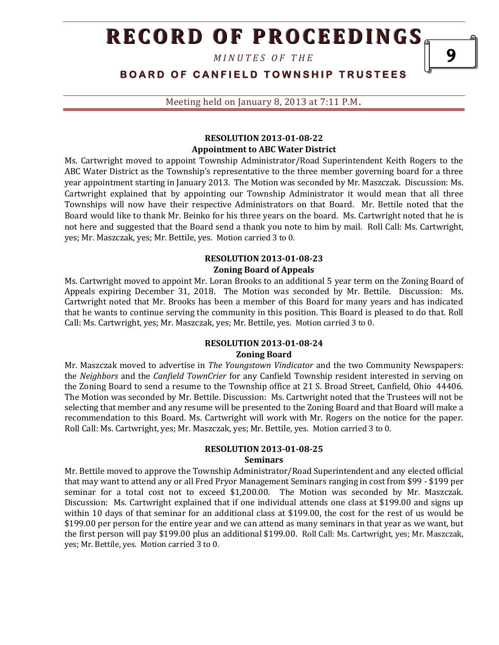*M I N U T E S O F T H E* 

**B O A R D O F C A N F I E L D T O W N S H I P T R U S T E E S** 

Meeting held on January 8, 2013 at 7:11 P.M**.**

## **RESOLUTION 2013-01-08-22 Appointment to ABC Water District**

Ms. Cartwright moved to appoint Township Administrator/Road Superintendent Keith Rogers to the ABC Water District as the Township's representative to the three member governing board for a three year appointment starting in January 2013. The Motion was seconded by Mr. Maszczak. Discussion: Ms. Cartwright explained that by appointing our Township Administrator it would mean that all three Townships will now have their respective Administrators on that Board. Mr. Bettile noted that the Board would like to thank Mr. Beinko for his three years on the board. Ms. Cartwright noted that he is not here and suggested that the Board send a thank you note to him by mail. Roll Call: Ms. Cartwright, yes; Mr. Maszczak, yes; Mr. Bettile, yes. Motion carried 3 to 0.

#### **RESOLUTION 2013-01-08-23 Zoning Board of Appeals**

Ms. Cartwright moved to appoint Mr. Loran Brooks to an additional 5 year term on the Zoning Board of Appeals expiring December 31, 2018. The Motion was seconded by Mr. Bettile. Discussion: Ms. Cartwright noted that Mr. Brooks has been a member of this Board for many years and has indicated that he wants to continue serving the community in this position. This Board is pleased to do that. Roll Call: Ms. Cartwright, yes; Mr. Maszczak, yes; Mr. Bettile, yes. Motion carried 3 to 0.

# **RESOLUTION 2013-01-08-24**

### **Zoning Board**

Mr. Maszczak moved to advertise in *The Youngstown Vindicator* and the two Community Newspapers: the *Neighbors* and the *Canfield TownCrier* for any Canfield Township resident interested in serving on the Zoning Board to send a resume to the Township office at 21 S. Broad Street, Canfield, Ohio 44406. The Motion was seconded by Mr. Bettile. Discussion: Ms. Cartwright noted that the Trustees will not be selecting that member and any resume will be presented to the Zoning Board and that Board will make a recommendation to this Board. Ms. Cartwright will work with Mr. Rogers on the notice for the paper. Roll Call: Ms. Cartwright, yes; Mr. Maszczak, yes; Mr. Bettile, yes. Motion carried 3 to 0.

#### **RESOLUTION 2013-01-08-25 Seminars**

Mr. Bettile moved to approve the Township Administrator/Road Superintendent and any elected official that may want to attend any or all Fred Pryor Management Seminars ranging in cost from \$99 - \$199 per seminar for a total cost not to exceed \$1,200.00. The Motion was seconded by Mr. Maszczak. Discussion: Ms. Cartwright explained that if one individual attends one class at \$199.00 and signs up within 10 days of that seminar for an additional class at \$199.00, the cost for the rest of us would be \$199.00 per person for the entire year and we can attend as many seminars in that year as we want, but the first person will pay \$199.00 plus an additional \$199.00. Roll Call: Ms. Cartwright, yes; Mr. Maszczak, yes; Mr. Bettile, yes. Motion carried 3 to 0.